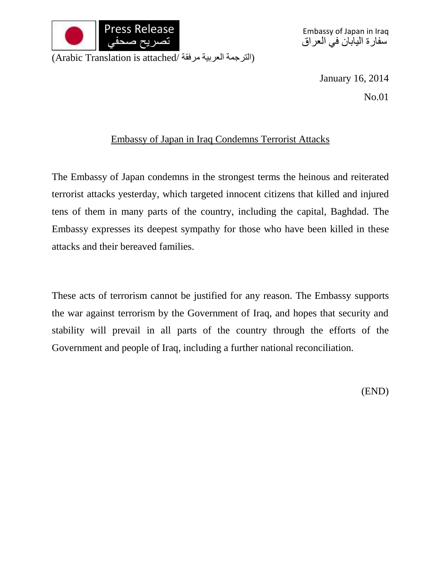

Embassy of Japan in Iraq سفارة اليابان في العراق

(الترجمة العربية مرفقة /Arabic Translation is attached)

January 16, 2014

No.01

## Embassy of Japan in Iraq Condemns Terrorist Attacks

The Embassy of Japan condemns in the strongest terms the heinous and reiterated terrorist attacks yesterday, which targeted innocent citizens that killed and injured tens of them in many parts of the country, including the capital, Baghdad. The Embassy expresses its deepest sympathy for those who have been killed in these attacks and their bereaved families.

These acts of terrorism cannot be justified for any reason. The Embassy supports the war against terrorism by the Government of Iraq, and hopes that security and stability will prevail in all parts of the country through the efforts of the Government and people of Iraq, including a further national reconciliation.

(END)